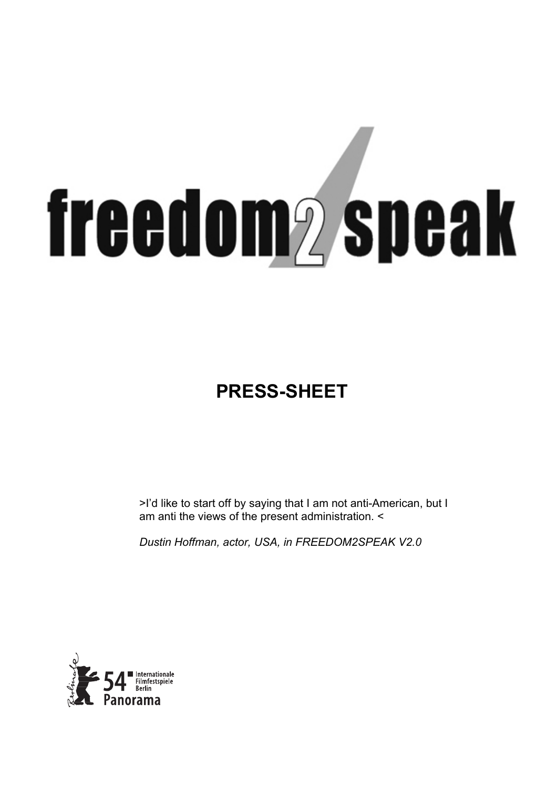# **freedom<sub>2</sub>** speak

# **PRESS-SHEET**

>I'd like to start off by saying that I am not anti-American, but I am anti the views of the present administration. <

*Dustin Hoffman, actor, USA, in FREEDOM2SPEAK V2.0* 

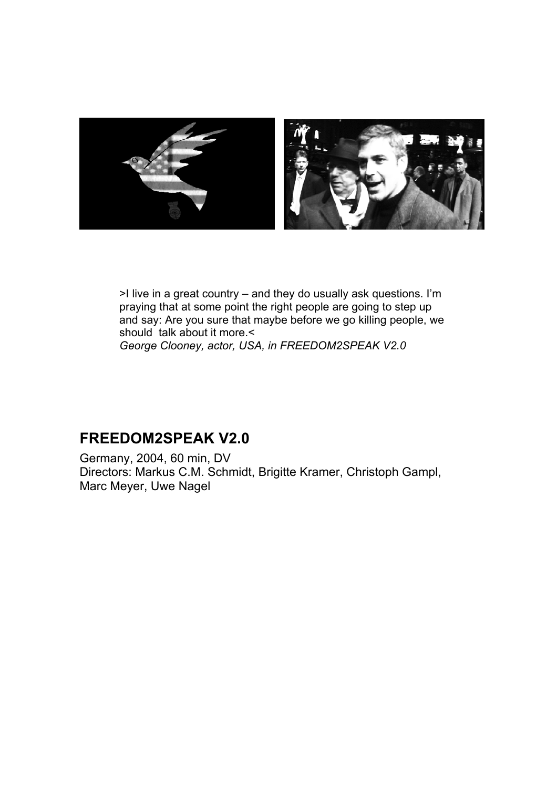

>I live in a great country – and they do usually ask questions. I'm praying that at some point the right people are going to step up and say: Are you sure that maybe before we go killing people, we should talk about it more.< *George Clooney, actor, USA, in FREEDOM2SPEAK V2.0* 

## **FREEDOM2SPEAK V2.0**

Germany, 2004, 60 min, DV Directors: Markus C.M. Schmidt, Brigitte Kramer, Christoph Gampl, Marc Meyer, Uwe Nagel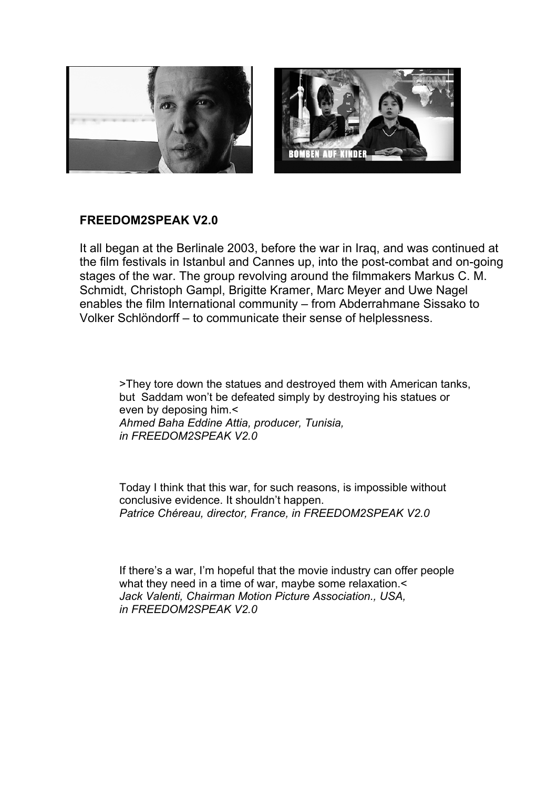

### **FREEDOM2SPEAK V2.0**

It all began at the Berlinale 2003, before the war in Iraq, and was continued at the film festivals in Istanbul and Cannes up, into the post-combat and on-going stages of the war. The group revolving around the filmmakers Markus C. M. Schmidt, Christoph Gampl, Brigitte Kramer, Marc Meyer and Uwe Nagel enables the film International community – from Abderrahmane Sissako to Volker Schlöndorff – to communicate their sense of helplessness.

>They tore down the statues and destroyed them with American tanks, but Saddam won't be defeated simply by destroying his statues or even by deposing him.< *Ahmed Baha Eddine Attia, producer, Tunisia, in FREEDOM2SPEAK V2.0* 

Today I think that this war, for such reasons, is impossible without conclusive evidence. It shouldn't happen. *Patrice Chéreau, director, France, in FREEDOM2SPEAK V2.0* 

If there's a war, I'm hopeful that the movie industry can offer people what they need in a time of war, maybe some relaxation.< *Jack Valenti, Chairman Motion Picture Association., USA, in FREEDOM2SPEAK V2.0*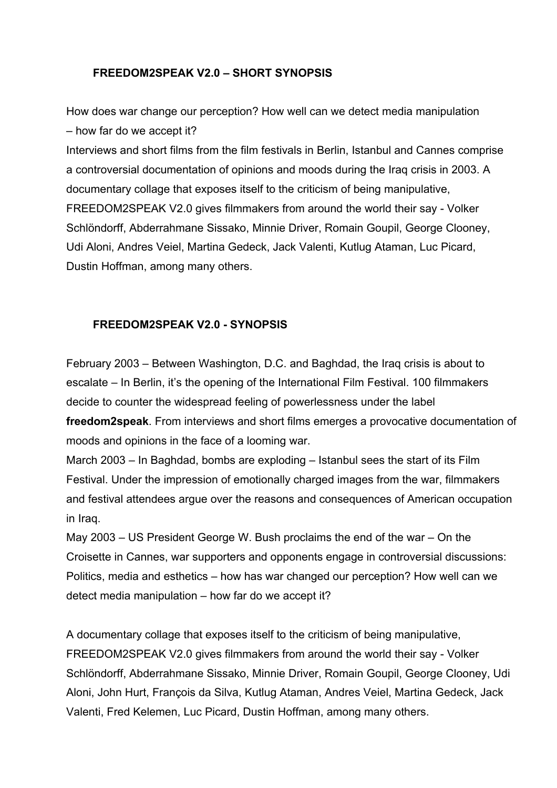### **FREEDOM2SPEAK V2.0 – SHORT SYNOPSIS**

How does war change our perception? How well can we detect media manipulation – how far do we accept it?

Interviews and short films from the film festivals in Berlin, Istanbul and Cannes comprise a controversial documentation of opinions and moods during the Iraq crisis in 2003. A documentary collage that exposes itself to the criticism of being manipulative, FREEDOM2SPEAK V2.0 gives filmmakers from around the world their say - Volker Schlöndorff, Abderrahmane Sissako, Minnie Driver, Romain Goupil, George Clooney, Udi Aloni, Andres Veiel, Martina Gedeck, Jack Valenti, Kutlug Ataman, Luc Picard, Dustin Hoffman, among many others.

### **FREEDOM2SPEAK V2.0 - SYNOPSIS**

February 2003 – Between Washington, D.C. and Baghdad, the Iraq crisis is about to escalate – In Berlin, it's the opening of the International Film Festival. 100 filmmakers decide to counter the widespread feeling of powerlessness under the label **freedom2speak**. From interviews and short films emerges a provocative documentation of moods and opinions in the face of a looming war.

March 2003 – In Baghdad, bombs are exploding – Istanbul sees the start of its Film Festival. Under the impression of emotionally charged images from the war, filmmakers and festival attendees argue over the reasons and consequences of American occupation in Iraq.

May 2003 – US President George W. Bush proclaims the end of the war – On the Croisette in Cannes, war supporters and opponents engage in controversial discussions: Politics, media and esthetics – how has war changed our perception? How well can we detect media manipulation – how far do we accept it?

A documentary collage that exposes itself to the criticism of being manipulative, FREEDOM2SPEAK V2.0 gives filmmakers from around the world their say - Volker Schlöndorff, Abderrahmane Sissako, Minnie Driver, Romain Goupil, George Clooney, Udi Aloni, John Hurt, François da Silva, Kutlug Ataman, Andres Veiel, Martina Gedeck, Jack Valenti, Fred Kelemen, Luc Picard, Dustin Hoffman, among many others.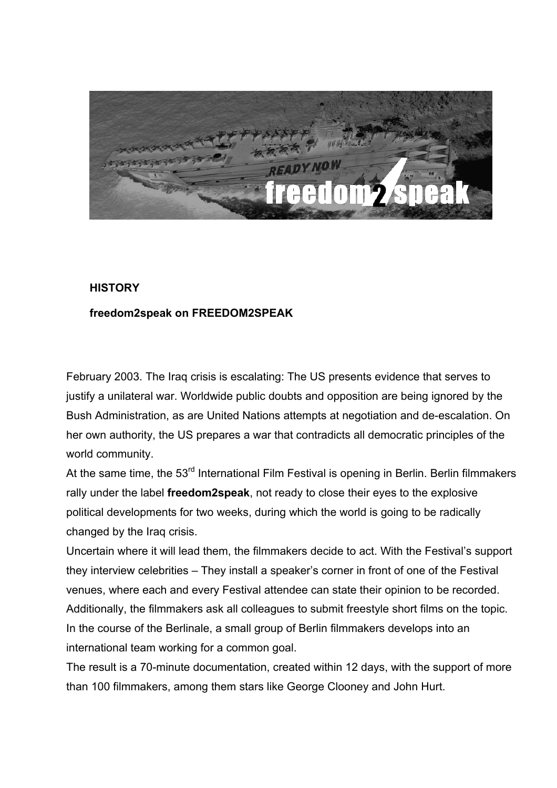

### **HISTORY**

### **freedom2speak on FREEDOM2SPEAK**

February 2003. The Iraq crisis is escalating: The US presents evidence that serves to justify a unilateral war. Worldwide public doubts and opposition are being ignored by the Bush Administration, as are United Nations attempts at negotiation and de-escalation. On her own authority, the US prepares a war that contradicts all democratic principles of the world community.

At the same time, the 53<sup>rd</sup> International Film Festival is opening in Berlin. Berlin filmmakers rally under the label **freedom2speak**, not ready to close their eyes to the explosive political developments for two weeks, during which the world is going to be radically changed by the Iraq crisis.

Uncertain where it will lead them, the filmmakers decide to act. With the Festival's support they interview celebrities – They install a speaker's corner in front of one of the Festival venues, where each and every Festival attendee can state their opinion to be recorded. Additionally, the filmmakers ask all colleagues to submit freestyle short films on the topic. In the course of the Berlinale, a small group of Berlin filmmakers develops into an international team working for a common goal.

The result is a 70-minute documentation, created within 12 days, with the support of more than 100 filmmakers, among them stars like George Clooney and John Hurt.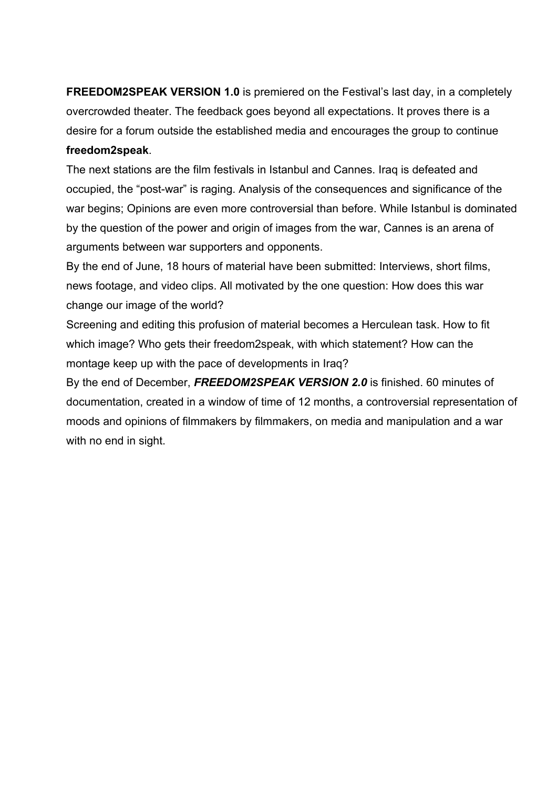**FREEDOM2SPEAK VERSION 1.0** is premiered on the Festival's last day, in a completely overcrowded theater. The feedback goes beyond all expectations. It proves there is a desire for a forum outside the established media and encourages the group to continue **freedom2speak**.

The next stations are the film festivals in Istanbul and Cannes. Iraq is defeated and occupied, the "post-war" is raging. Analysis of the consequences and significance of the war begins; Opinions are even more controversial than before. While Istanbul is dominated by the question of the power and origin of images from the war, Cannes is an arena of arguments between war supporters and opponents.

By the end of June, 18 hours of material have been submitted: Interviews, short films, news footage, and video clips. All motivated by the one question: How does this war change our image of the world?

Screening and editing this profusion of material becomes a Herculean task. How to fit which image? Who gets their freedom2speak, with which statement? How can the montage keep up with the pace of developments in Iraq?

By the end of December, *FREEDOM2SPEAK VERSION 2.0* is finished. 60 minutes of documentation, created in a window of time of 12 months, a controversial representation of moods and opinions of filmmakers by filmmakers, on media and manipulation and a war with no end in sight.